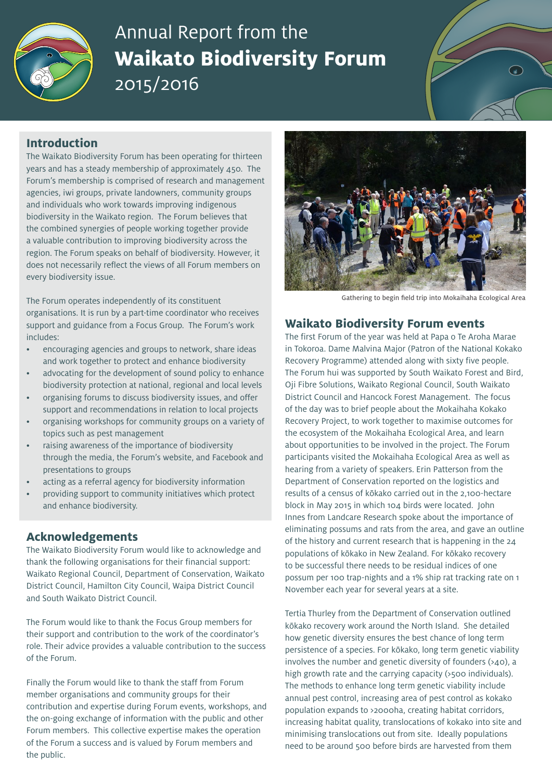

# Annual Report from the **Waikato Biodiversity Forum** 2015/2016

# **Introduction**

The Waikato Biodiversity Forum has been operating for thirteen years and has a steady membership of approximately 450. The Forum's membership is comprised of research and management agencies, iwi groups, private landowners, community groups and individuals who work towards improving indigenous biodiversity in the Waikato region. The Forum believes that the combined synergies of people working together provide a valuable contribution to improving biodiversity across the region. The Forum speaks on behalf of biodiversity. However, it does not necessarily reflect the views of all Forum members on every biodiversity issue.

The Forum operates independently of its constituent organisations. It is run by a part-time coordinator who receives support and guidance from a Focus Group. The Forum's work includes:

- encouraging agencies and groups to network, share ideas and work together to protect and enhance biodiversity
- advocating for the development of sound policy to enhance biodiversity protection at national, regional and local levels
- organising forums to discuss biodiversity issues, and offer support and recommendations in relation to local projects
- organising workshops for community groups on a variety of topics such as pest management
- raising awareness of the importance of biodiversity through the media, the Forum's website, and Facebook and presentations to groups
- acting as a referral agency for biodiversity information
- providing support to community initiatives which protect and enhance biodiversity.

## **Acknowledgements**

The Waikato Biodiversity Forum would like to acknowledge and thank the following organisations for their financial support: Waikato Regional Council, Department of Conservation, Waikato District Council, Hamilton City Council, Waipa District Council and South Waikato District Council.

The Forum would like to thank the Focus Group members for their support and contribution to the work of the coordinator's role. Their advice provides a valuable contribution to the success of the Forum.

Finally the Forum would like to thank the staff from Forum member organisations and community groups for their contribution and expertise during Forum events, workshops, and the on-going exchange of information with the public and other Forum members. This collective expertise makes the operation of the Forum a success and is valued by Forum members and the public.



Gathering to begin field trip into Mokaihaha Ecological Area

#### **Waikato Biodiversity Forum events**

The first Forum of the year was held at Papa o Te Aroha Marae in Tokoroa. Dame Malvina Major (Patron of the National Kokako Recovery Programme) attended along with sixty five people. The Forum hui was supported by South Waikato Forest and Bird, Oji Fibre Solutions, Waikato Regional Council, South Waikato District Council and Hancock Forest Management. The focus of the day was to brief people about the Mokaihaha Kokako Recovery Project, to work together to maximise outcomes for the ecosystem of the Mokaihaha Ecological Area, and learn about opportunities to be involved in the project. The Forum participants visited the Mokaihaha Ecological Area as well as hearing from a variety of speakers. Erin Patterson from the Department of Conservation reported on the logistics and results of a census of kōkako carried out in the 2,100-hectare block in May 2015 in which 104 birds were located. John Innes from Landcare Research spoke about the importance of eliminating possums and rats from the area, and gave an outline of the history and current research that is happening in the 24 populations of kōkako in New Zealand. For kōkako recovery to be successful there needs to be residual indices of one possum per 100 trap-nights and a 1% ship rat tracking rate on 1 November each year for several years at a site.

Tertia Thurley from the Department of Conservation outlined kōkako recovery work around the North Island. She detailed how genetic diversity ensures the best chance of long term persistence of a species. For kōkako, long term genetic viability involves the number and genetic diversity of founders (>40), a high growth rate and the carrying capacity (>500 individuals). The methods to enhance long term genetic viability include annual pest control, increasing area of pest control as kokako population expands to >2000ha, creating habitat corridors, increasing habitat quality, translocations of kokako into site and minimising translocations out from site. Ideally populations need to be around 500 before birds are harvested from them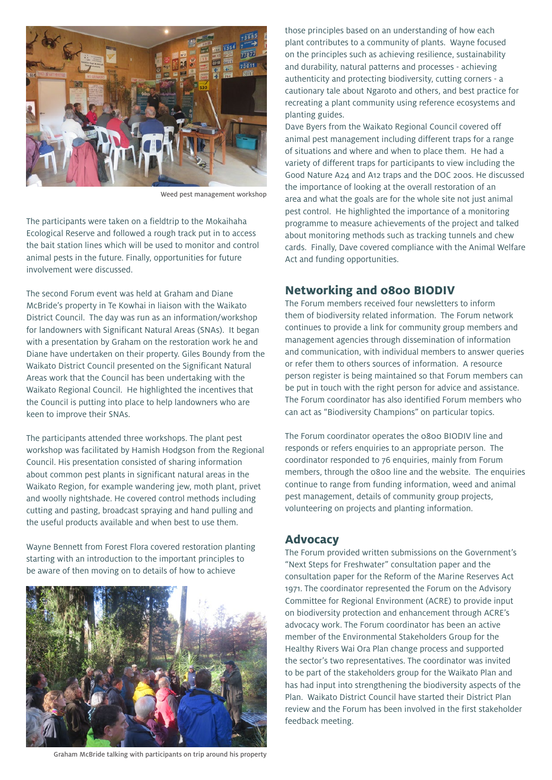

Weed pest management workshop

The participants were taken on a fieldtrip to the Mokaihaha Ecological Reserve and followed a rough track put in to access the bait station lines which will be used to monitor and control animal pests in the future. Finally, opportunities for future involvement were discussed.

The second Forum event was held at Graham and Diane McBride's property in Te Kowhai in liaison with the Waikato District Council. The day was run as an information/workshop for landowners with Significant Natural Areas (SNAs). It began with a presentation by Graham on the restoration work he and Diane have undertaken on their property. Giles Boundy from the Waikato District Council presented on the Significant Natural Areas work that the Council has been undertaking with the Waikato Regional Council. He highlighted the incentives that the Council is putting into place to help landowners who are keen to improve their SNAs.

The participants attended three workshops. The plant pest workshop was facilitated by Hamish Hodgson from the Regional Council. His presentation consisted of sharing information about common pest plants in significant natural areas in the Waikato Region, for example wandering jew, moth plant, privet and woolly nightshade. He covered control methods including cutting and pasting, broadcast spraying and hand pulling and the useful products available and when best to use them.

Wayne Bennett from Forest Flora covered restoration planting starting with an introduction to the important principles to be aware of then moving on to details of how to achieve



Graham McBride talking with participants on trip around his property

those principles based on an understanding of how each plant contributes to a community of plants. Wayne focused on the principles such as achieving resilience, sustainability and durability, natural patterns and processes - achieving authenticity and protecting biodiversity, cutting corners - a cautionary tale about Ngaroto and others, and best practice for recreating a plant community using reference ecosystems and planting guides.

Dave Byers from the Waikato Regional Council covered off animal pest management including different traps for a range of situations and where and when to place them. He had a variety of different traps for participants to view including the Good Nature A24 and A12 traps and the DOC 200s. He discussed the importance of looking at the overall restoration of an area and what the goals are for the whole site not just animal pest control. He highlighted the importance of a monitoring programme to measure achievements of the project and talked about monitoring methods such as tracking tunnels and chew cards. Finally, Dave covered compliance with the Animal Welfare Act and funding opportunities.

#### **Networking and 0800 BIODIV**

The Forum members received four newsletters to inform them of biodiversity related information. The Forum network continues to provide a link for community group members and management agencies through dissemination of information and communication, with individual members to answer queries or refer them to others sources of information. A resource person register is being maintained so that Forum members can be put in touch with the right person for advice and assistance. The Forum coordinator has also identified Forum members who can act as "Biodiversity Champions" on particular topics.

The Forum coordinator operates the 0800 BIODIV line and responds or refers enquiries to an appropriate person. The coordinator responded to 76 enquiries, mainly from Forum members, through the 0800 line and the website. The enquiries continue to range from funding information, weed and animal pest management, details of community group projects, volunteering on projects and planting information.

#### **Advocacy**

The Forum provided written submissions on the Government's "Next Steps for Freshwater" consultation paper and the consultation paper for the Reform of the Marine Reserves Act 1971. The coordinator represented the Forum on the Advisory Committee for Regional Environment (ACRE) to provide input on biodiversity protection and enhancement through ACRE's advocacy work. The Forum coordinator has been an active member of the Environmental Stakeholders Group for the Healthy Rivers Wai Ora Plan change process and supported the sector's two representatives. The coordinator was invited to be part of the stakeholders group for the Waikato Plan and has had input into strengthening the biodiversity aspects of the Plan. Waikato District Council have started their District Plan review and the Forum has been involved in the first stakeholder feedback meeting.